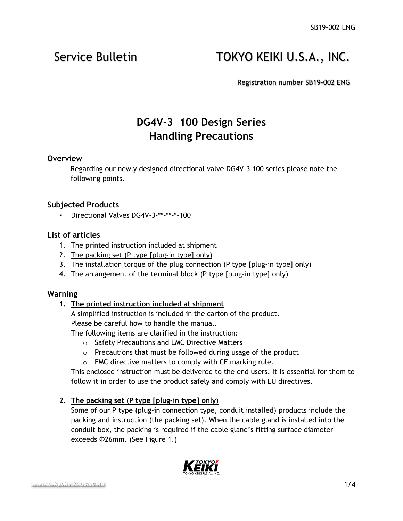# Service Bulletin **TOKYO KEIKI U.S.A., INC.**

Registration number SB19-002 ENG

## **DG4V-3 100 Design Series Handling Precautions**

#### **Overview**

Regarding our newly designed directional valve DG4V-3 100 series please note the following points.

#### **Subjected Products**

・ Directional Valves DG4V-3-\*\*-\*\*-\*-100

#### **List of articles**

- 1. The printed instruction included at shipment
- 2. The packing set (P type [plug-in type] only)
- 3. The installation torque of the plug connection (P type [plug-in type] only)
- 4. The arrangement of the terminal block (P type [plug-in type] only)

#### **Warning**

#### **1. The printed instruction included at shipment**

A simplified instruction is included in the carton of the product.

Please be careful how to handle the manual.

The following items are clarified in the instruction:

- o Safety Precautions and EMC Directive Matters
- $\circ$  Precautions that must be followed during usage of the product
- o EMC directive matters to comply with CE marking rule.

This enclosed instruction must be delivered to the end users. It is essential for them to follow it in order to use the product safely and comply with EU directives.

### **2. The packing set (P type [plug-in type] only)**

Some of our P type (plug-in connection type, conduit installed) products include the packing and instruction (the packing set). When the cable gland is installed into the conduit box, the packing is required if the cable gland's fitting surface diameter exceeds Φ26mm. (See Figure 1.)

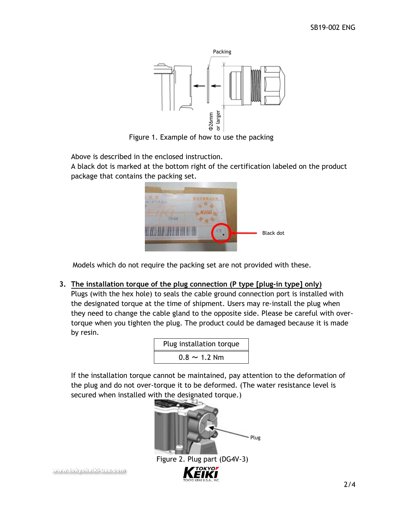

Figure 1. Example of how to use the packing

Above is described in the enclosed instruction.

A black dot is marked at the bottom right of the certification labeled on the product package that contains the packing set.



Models which do not require the packing set are not provided with these.

### **3. The installation torque of the plug connection (P type [plug-in type] only)**

Plugs (with the hex hole) to seals the cable ground connection port is installed with the designated torque at the time of shipment. Users may re-install the plug when they need to change the cable gland to the opposite side. Please be careful with overtorque when you tighten the plug. The product could be damaged because it is made by resin.

| Plug installation torque |  |  |  |
|--------------------------|--|--|--|
| $0.8 \sim 1.2$ Nm        |  |  |  |

If the installation torque cannot be maintained, pay attention to the deformation of the plug and do not over-torque it to be deformed. (The water resistance level is secured when installed with the designated torque.)



[www.tokyokeiki-usa.com](file:///C:/Users/yjohnson/AppData/Local/Microsoft/Windows/INetCache/Content.Outlook/BH4M9B28/www.tokyokeiki-usa.com)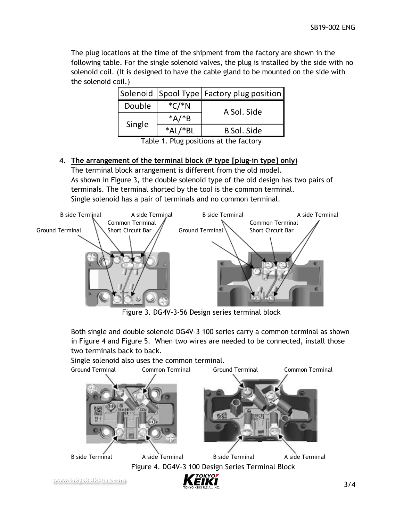The plug locations at the time of the shipment from the factory are shown in the following table. For the single solenoid valves, the plug is installed by the side with no solenoid coil. (It is designed to have the cable gland to be mounted on the side with the solenoid coil.)

|        |          | Solenoid Spool Type   Factory plug position |
|--------|----------|---------------------------------------------|
| Double | $*C/*N$  | A Sol. Side                                 |
| Single | $*A$ /*B |                                             |
|        | ו∆*      | B Sol. Side                                 |

Table 1. Plug positions at the factory

#### **4. The arrangement of the terminal block (P type [plug-in type] only)**

The terminal block arrangement is different from the old model. As shown in Figure 3, the double solenoid type of the old design has two pairs of terminals. The terminal shorted by the tool is the common terminal. Single solenoid has a pair of terminals and no common terminal.



Figure 3. DG4V-3-56 Design series terminal block

Both single and double solenoid DG4V-3 100 series carry a common terminal as shown in Figure 4 and Figure 5. When two wires are needed to be connected, install those two terminals back to back.

Single solenoid also uses the common terminal.